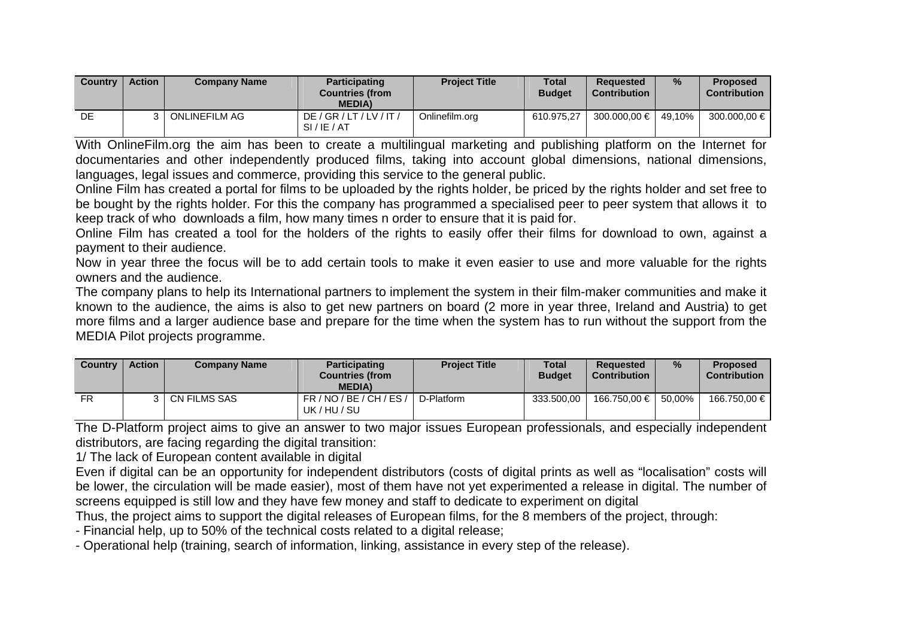| <b>Country</b> | <b>Action</b> | <b>Company Name</b>  | <b>Participating</b><br><b>Countries (from</b><br><b>MEDIA</b> ) | <b>Project Title</b> | Total<br><b>Budget</b> | Reauested<br>Contribution | $\%$   | <b>Proposed</b><br><b>Contribution</b> |
|----------------|---------------|----------------------|------------------------------------------------------------------|----------------------|------------------------|---------------------------|--------|----------------------------------------|
| DE             |               | <b>ONLINEFILM AG</b> | DE/GR/LT/LV/TT/<br>SI/IE/AT                                      | Onlinefilm.ora       | 610.975.27             | 300,000,00 €              | 49.10% | 300.000.00 € I                         |

With OnlineFilm.org the aim has been to create a multilingual marketing and publishing platform on the Internet for documentaries and other independently produced films, taking into account global dimensions, national dimensions, languages, legal issues and commerce, providing this service to the general public.

Online Film has created a portal for films to be uploaded by the rights holder, be priced by the rights holder and set free to be bought by the rights holder. For this the company has programmed a specialised peer to peer system that allows it to keep track of who downloads a film, how many times n order to ensure that it is paid for.

Online Film has created a tool for the holders of the rights to easily offer their films for download to own, against a payment to their audience.

Now in year three the focus will be to add certain tools to make it even easier to use and more valuable for the rights owners and the audience.

The company plans to help its International partners to implement the system in their film-maker communities and make it known to the audience, the aims is also to get new partners on board (2 more in year three, Ireland and Austria) to get more films and a larger audience base and prepare for the time when the system has to run without the support from the MEDIA Pilot projects programme.

| <b>Country</b> | <b>Action</b> | <b>Company Name</b> | <b>Participating</b><br><b>Countries (from</b><br><b>MEDIA</b> ) | <b>Project Title</b> | Total<br><b>Budget</b> | <b>Requested</b><br><b>Contribution</b> | $\frac{9}{6}$ | <b>Proposed</b><br><b>Contribution</b> |
|----------------|---------------|---------------------|------------------------------------------------------------------|----------------------|------------------------|-----------------------------------------|---------------|----------------------------------------|
| FR             |               | CN FILMS SAS        | FR / NO / BE / CH / ES /<br>UK / HU / SU                         | D-Platform           | 333.500.00             | 166.750.00 € L                          | 50.00%        | 166.750.00 €                           |

The D-Platform project aims to give an answer to two major issues European professionals, and especially independent distributors, are facing regarding the digital transition:

1/ The lack of European content available in digital

Even if digital can be an opportunity for independent distributors (costs of digital prints as well as "localisation" costs will be lower, the circulation will be made easier), most of them have not yet experimented a release in digital. The number of screens equipped is still low and they have few money and staff to dedicate to experiment on digital

Thus, the project aims to support the digital releases of European films, for the 8 members of the project, through:

- Financial help, up to 50% of the technical costs related to a digital release;

- Operational help (training, search of information, linking, assistance in every step of the release).